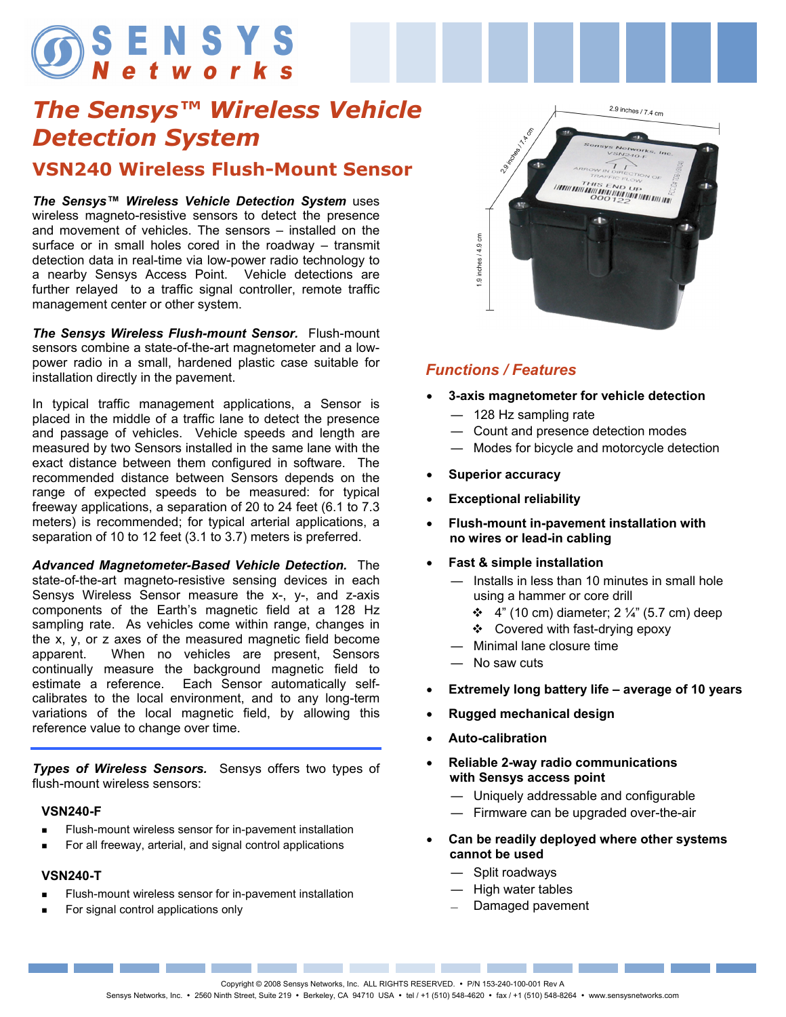# **OSENSYS**

### *The Sensys™ Wireless Vehicle Detection System*

#### **VSN240 Wireless Flush-Mount Sensor**

*The Sensys™ Wireless Vehicle Detection System* uses wireless magneto-resistive sensors to detect the presence and movement of vehicles. The sensors – installed on the surface or in small holes cored in the roadway – transmit detection data in real-time via low-power radio technology to a nearby Sensys Access Point. Vehicle detections are further relayed to a traffic signal controller, remote traffic management center or other system.

*The Sensys Wireless Flush-mount Sensor.* Flush-mount sensors combine a state-of-the-art magnetometer and a lowpower radio in a small, hardened plastic case suitable for installation directly in the pavement.

In typical traffic management applications, a Sensor is placed in the middle of a traffic lane to detect the presence and passage of vehicles. Vehicle speeds and length are measured by two Sensors installed in the same lane with the exact distance between them configured in software. The recommended distance between Sensors depends on the range of expected speeds to be measured: for typical freeway applications, a separation of 20 to 24 feet (6.1 to 7.3 meters) is recommended; for typical arterial applications, a separation of 10 to 12 feet (3.1 to 3.7) meters is preferred.

*Advanced Magnetometer-Based Vehicle Detection.* The state-of-the-art magneto-resistive sensing devices in each Sensys Wireless Sensor measure the x-, y-, and z-axis components of the Earth's magnetic field at a 128 Hz sampling rate. As vehicles come within range, changes in the x, y, or z axes of the measured magnetic field become apparent. When no vehicles are present, Sensors continually measure the background magnetic field to estimate a reference. Each Sensor automatically selfcalibrates to the local environment, and to any long-term variations of the local magnetic field, by allowing this reference value to change over time.

*Types of Wireless Sensors.* Sensys offers two types of flush-mount wireless sensors:

#### **VSN240-F**

- Flush-mount wireless sensor for in-pavement installation
- For all freeway, arterial, and signal control applications

#### **VSN240-T**

- Flush-mount wireless sensor for in-pavement installation
- For signal control applications only



#### *Functions / Features*

- **3-axis magnetometer for vehicle detection** 
	- ― 128 Hz sampling rate
	- ― Count and presence detection modes
	- ― Modes for bicycle and motorcycle detection
- **Superior accuracy**
- **Exceptional reliability**
- **Flush-mount in-pavement installation with no wires or lead-in cabling**
- **Fast & simple installation** 
	- ― Installs in less than 10 minutes in small hole using a hammer or core drill
		- $\div$  4" (10 cm) diameter; 2  $\frac{1}{4}$ " (5.7 cm) deep
		- ❖ Covered with fast-drying epoxy
	- ― Minimal lane closure time
	- ― No saw cuts
- **Extremely long battery life average of 10 years**
- **Rugged mechanical design**
- **Auto-calibration**
- **Reliable 2-way radio communications with Sensys access point** 
	- ― Uniquely addressable and configurable
	- ― Firmware can be upgraded over-the-air
- **Can be readily deployed where other systems cannot be used** 
	- ― Split roadways
	- ― High water tables
	- Damaged pavement

Copyright © 2008 Sensys Networks, Inc. ALL RIGHTS RESERVED. • P/N 153-240-100-001 Rev A

\_\_\_\_\_\_\_\_

Sensys Networks, Inc. • 2560 Ninth Street, Suite 219 • Berkeley, CA 94710 USA • tel / +1 (510) 548-4620 • fax / +1 (510) 548-8264 • www.sensysnetworks.com